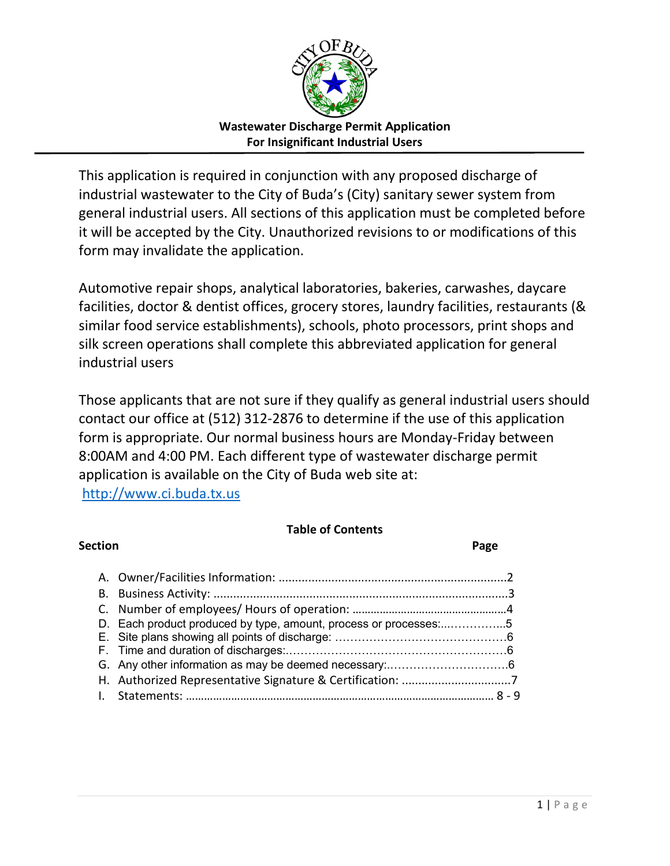

This application is required in conjunction with any proposed discharge of industrial wastewater to the City of Buda's (City) sanitary sewer system from general industrial users. All sections of this application must be completed before it will be accepted by the City. Unauthorized revisions to or modifications of this form may invalidate the application.

Automotive repair shops, analytical laboratories, bakeries, carwashes, daycare facilities, doctor & dentist offices, grocery stores, laundry facilities, restaurants (& similar food service establishments), schools, photo processors, print shops and silk screen operations shall complete this abbreviated application for general industrial users

Those applicants that are not sure if they qualify as general industrial users should contact our office at (512) 312-2876 to determine if the use of this application form is appropriate. Our normal business hours are Monday-Friday between 8:00AM and 4:00 PM. Each different type of wastewater discharge permit application is available on the City of Buda web site at:

[http://www.ci.buda.tx.us](http://www.ci.buda.tx.us/)

### **Table of Contents**

| <b>Section</b> |                                                                  | Page |
|----------------|------------------------------------------------------------------|------|
|                |                                                                  |      |
|                |                                                                  |      |
|                |                                                                  |      |
|                | D. Each product produced by type, amount, process or processes:5 |      |
|                |                                                                  |      |
|                |                                                                  |      |
|                |                                                                  |      |
|                |                                                                  |      |
|                |                                                                  |      |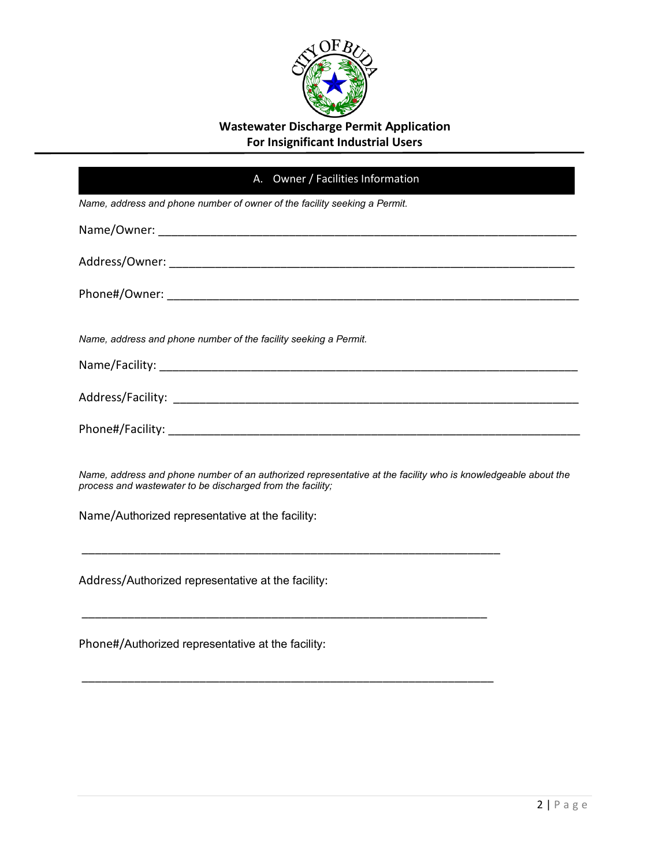

|                                                            | A. Owner / Facilities Information                                                                             |
|------------------------------------------------------------|---------------------------------------------------------------------------------------------------------------|
|                                                            | Name, address and phone number of owner of the facility seeking a Permit.                                     |
|                                                            |                                                                                                               |
|                                                            |                                                                                                               |
|                                                            |                                                                                                               |
|                                                            | Name, address and phone number of the facility seeking a Permit.                                              |
|                                                            |                                                                                                               |
|                                                            |                                                                                                               |
|                                                            |                                                                                                               |
| process and wastewater to be discharged from the facility; | Name, address and phone number of an authorized representative at the facility who is knowledgeable about the |
| Name/Authorized representative at the facility:            |                                                                                                               |
| Address/Authorized representative at the facility:         |                                                                                                               |
|                                                            |                                                                                                               |

\_\_\_\_\_\_\_\_\_\_\_\_\_\_\_\_\_\_\_\_\_\_\_\_\_\_\_\_\_\_\_\_\_\_\_\_\_\_\_\_\_\_\_\_\_\_\_\_\_\_\_\_\_\_\_\_\_\_\_\_\_\_\_

Phone#/Authorized representative at the facility: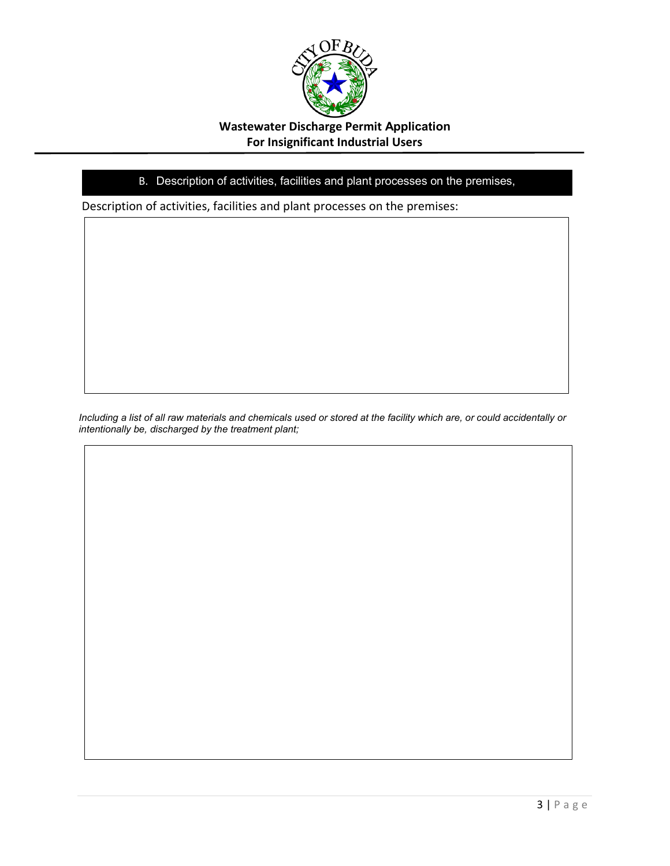

### B. Description of activities, facilities and plant processes on the premises,

Description of activities, facilities and plant processes on the premises:

*Including a list of all raw materials and chemicals used or stored at the facility which are, or could accidentally or intentionally be, discharged by the treatment plant;*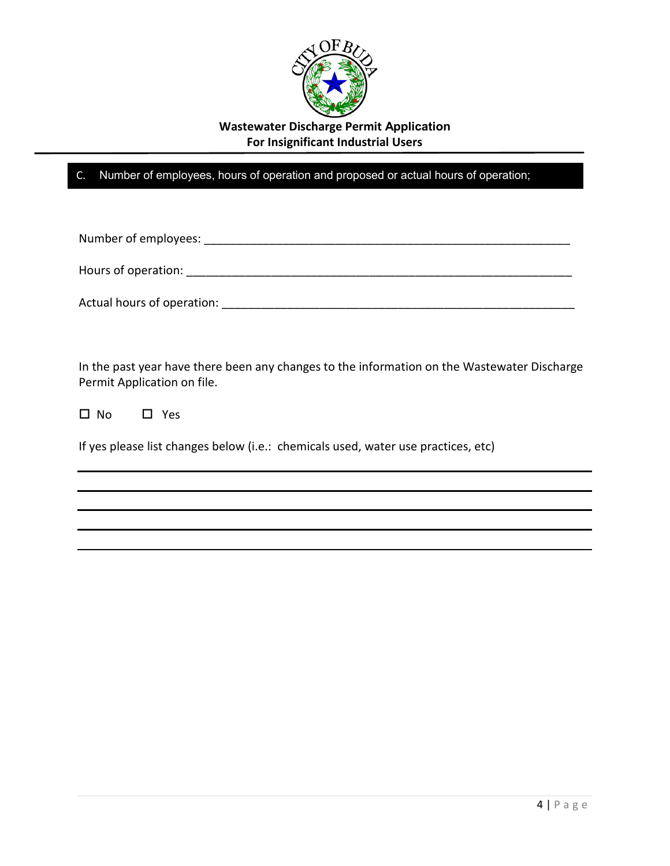

C. Number of employees, hours of operation and proposed or actual hours of operation;

Number of employees: \_\_\_\_\_\_\_\_\_\_\_\_\_\_\_\_\_\_\_\_\_\_\_\_\_\_\_\_\_\_\_\_\_\_\_\_\_\_\_\_\_\_\_\_\_\_\_\_\_\_\_\_\_\_\_\_

Hours of operation: **Example 2018** 

Actual hours of operation: \_\_\_\_\_\_\_\_\_\_\_\_\_\_\_\_\_\_\_\_\_\_\_\_\_\_\_\_\_\_\_\_\_\_\_\_\_\_\_\_\_\_\_\_\_\_\_\_\_\_\_\_\_\_

In the past year have there been any changes to the information on the Wastewater Discharge Permit Application on file.

□ No □ Yes

If yes please list changes below (i.e.: chemicals used, water use practices, etc)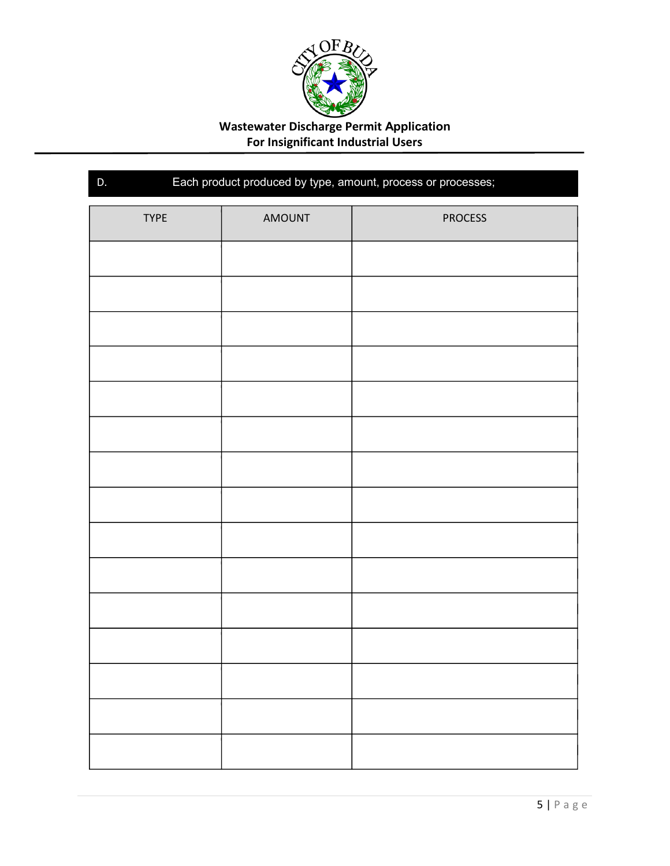

| Each product produced by type, amount, process or processes;<br>D. |        |                |
|--------------------------------------------------------------------|--------|----------------|
| <b>TYPE</b>                                                        | AMOUNT | <b>PROCESS</b> |
|                                                                    |        |                |
|                                                                    |        |                |
|                                                                    |        |                |
|                                                                    |        |                |
|                                                                    |        |                |
|                                                                    |        |                |
|                                                                    |        |                |
|                                                                    |        |                |
|                                                                    |        |                |
|                                                                    |        |                |
|                                                                    |        |                |
|                                                                    |        |                |
|                                                                    |        |                |
|                                                                    |        |                |
|                                                                    |        |                |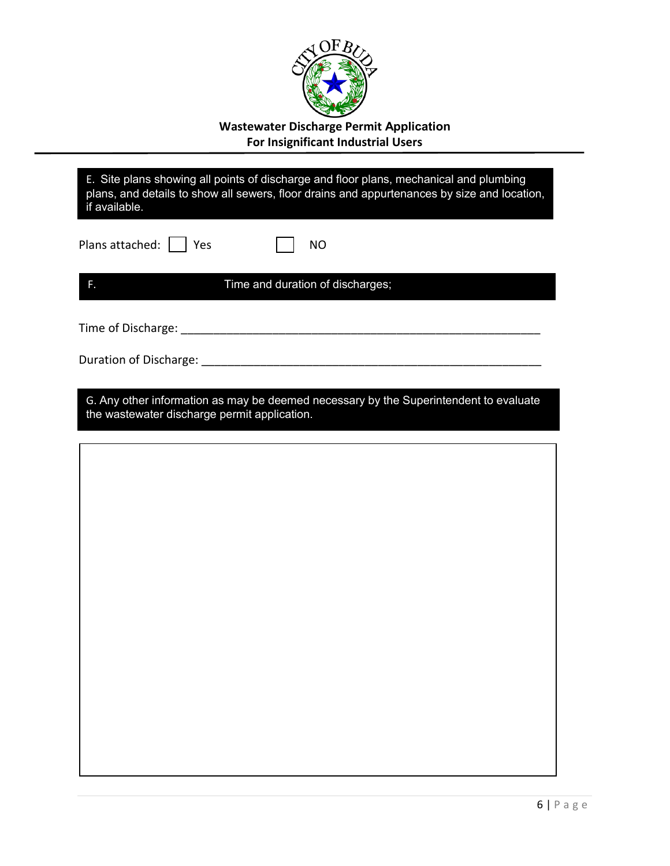

| if available.                                | E. Site plans showing all points of discharge and floor plans, mechanical and plumbing<br>plans, and details to show all sewers, floor drains and appurtenances by size and location, |
|----------------------------------------------|---------------------------------------------------------------------------------------------------------------------------------------------------------------------------------------|
| Plans attached:     Yes                      | <b>NO</b>                                                                                                                                                                             |
| F.                                           | Time and duration of discharges;                                                                                                                                                      |
|                                              |                                                                                                                                                                                       |
|                                              |                                                                                                                                                                                       |
| the wastewater discharge permit application. | G. Any other information as may be deemed necessary by the Superintendent to evaluate                                                                                                 |
|                                              |                                                                                                                                                                                       |
|                                              |                                                                                                                                                                                       |
|                                              |                                                                                                                                                                                       |
|                                              |                                                                                                                                                                                       |
|                                              |                                                                                                                                                                                       |
|                                              |                                                                                                                                                                                       |
|                                              |                                                                                                                                                                                       |
|                                              |                                                                                                                                                                                       |
|                                              |                                                                                                                                                                                       |
|                                              |                                                                                                                                                                                       |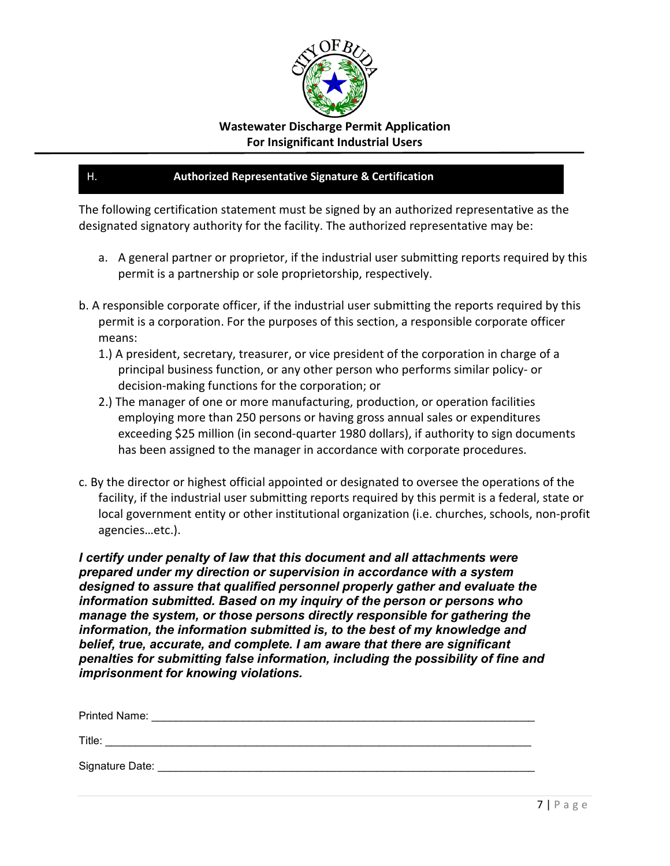

#### H. **Authorized Representative Signature & Certification**

The following certification statement must be signed by an authorized representative as the designated signatory authority for the facility. The authorized representative may be:

- a. A general partner or proprietor, if the industrial user submitting reports required by this permit is a partnership or sole proprietorship, respectively.
- b. A responsible corporate officer, if the industrial user submitting the reports required by this permit is a corporation. For the purposes of this section, a responsible corporate officer means:
	- 1.) A president, secretary, treasurer, or vice president of the corporation in charge of a principal business function, or any other person who performs similar policy- or decision-making functions for the corporation; or
	- 2.) The manager of one or more manufacturing, production, or operation facilities employing more than 250 persons or having gross annual sales or expenditures exceeding \$25 million (in second-quarter 1980 dollars), if authority to sign documents has been assigned to the manager in accordance with corporate procedures.
- c. By the director or highest official appointed or designated to oversee the operations of the facility, if the industrial user submitting reports required by this permit is a federal, state or local government entity or other institutional organization (i.e. churches, schools, non-profit agencies…etc.).

*I certify under penalty of law that this document and all attachments were prepared under my direction or supervision in accordance with a system designed to assure that qualified personnel properly gather and evaluate the information submitted. Based on my inquiry of the person or persons who manage the system, or those persons directly responsible for gathering the information, the information submitted is, to the best of my knowledge and belief, true, accurate, and complete. I am aware that there are significant penalties for submitting false information, including the possibility of fine and imprisonment for knowing violations.*

| <b>Printed Name:</b> |  |
|----------------------|--|
| Title:               |  |
| Signature Date:      |  |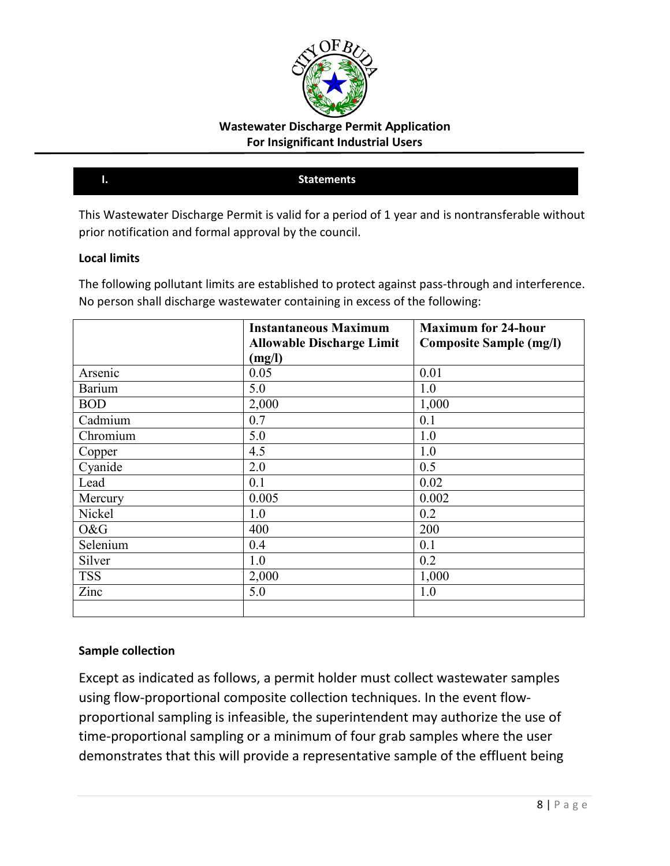

#### **I. Statements**

This Wastewater Discharge Permit is valid for a period of 1 year and is nontransferable without prior notification and formal approval by the council.

#### **Local limits**

The following pollutant limits are established to protect against pass-through and interference. No person shall discharge wastewater containing in excess of the following:

|            | <b>Instantaneous Maximum</b>     | <b>Maximum for 24-hour</b>     |
|------------|----------------------------------|--------------------------------|
|            | <b>Allowable Discharge Limit</b> | <b>Composite Sample (mg/l)</b> |
|            | (mg/l)                           |                                |
| Arsenic    | 0.05                             | 0.01                           |
| Barium     | 5.0                              | 1.0                            |
| <b>BOD</b> | 2,000                            | 1,000                          |
| Cadmium    | 0.7                              | 0.1                            |
| Chromium   | 5.0                              | 1.0                            |
| Copper     | 4.5                              | 1.0                            |
| Cyanide    | 2.0                              | 0.5                            |
| Lead       | 0.1                              | 0.02                           |
| Mercury    | 0.005                            | 0.002                          |
| Nickel     | 1.0                              | 0.2                            |
| O&G        | 400                              | 200                            |
| Selenium   | 0.4                              | 0.1                            |
| Silver     | 1.0                              | 0.2                            |
| <b>TSS</b> | 2,000                            | 1,000                          |
| Zinc       | 5.0                              | 1.0                            |
|            |                                  |                                |

#### **Sample collection**

Except as indicated as follows, a permit holder must collect wastewater samples using flow-proportional composite collection techniques. In the event flowproportional sampling is infeasible, the superintendent may authorize the use of time-proportional sampling or a minimum of four grab samples where the user demonstrates that this will provide a representative sample of the effluent being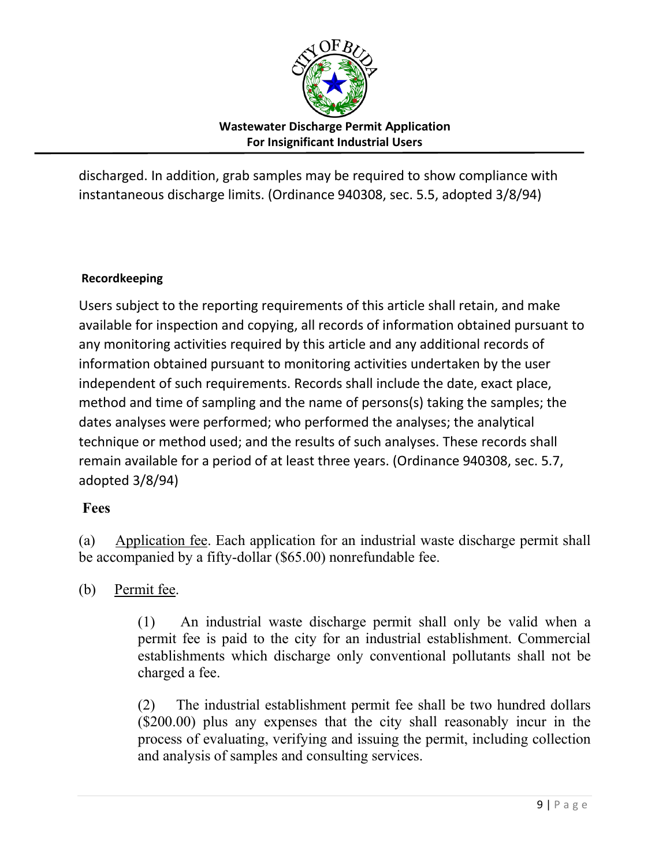

discharged. In addition, grab samples may be required to show compliance with instantaneous discharge limits. (Ordinance 940308, sec. 5.5, adopted 3/8/94)

### **Recordkeeping**

Users subject to the reporting requirements of this article shall retain, and make available for inspection and copying, all records of information obtained pursuant to any monitoring activities required by this article and any additional records of information obtained pursuant to monitoring activities undertaken by the user independent of such requirements. Records shall include the date, exact place, method and time of sampling and the name of persons(s) taking the samples; the dates analyses were performed; who performed the analyses; the analytical technique or method used; and the results of such analyses. These records shall remain available for a period of at least three years. (Ordinance 940308, sec. 5.7, adopted 3/8/94)

# **Fees**

(a) Application fee. Each application for an industrial waste discharge permit shall be accompanied by a fifty-dollar (\$65.00) nonrefundable fee.

# (b) Permit fee.

(1) An industrial waste discharge permit shall only be valid when a permit fee is paid to the city for an industrial establishment. Commercial establishments which discharge only conventional pollutants shall not be charged a fee.

(2) The industrial establishment permit fee shall be two hundred dollars (\$200.00) plus any expenses that the city shall reasonably incur in the process of evaluating, verifying and issuing the permit, including collection and analysis of samples and consulting services.